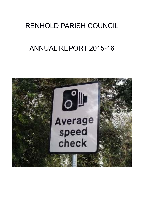# RENHOLD PARISH COUNCIL

# ANNUAL REPORT 2015-16

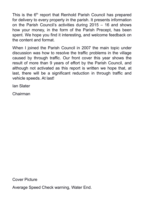This is the 6<sup>th</sup> report that Renhold Parish Council has prepared for delivery to every property in the parish. It presents information on the Parish Council's activities during 2015 – 16 and shows how your money, in the form of the Parish Precept, has been spent. We hope you find it interesting, and welcome feedback on the content and format.

When I joined the Parish Council in 2007 the main topic under discussion was how to resolve the traffic problems in the village caused by through traffic. Our front cover this year shows the result of more than 9 years of effort by the Parish Council, and although not activated as this report is written we hope that, at last, there will be a significant reduction in through traffic and vehicle speeds. At last!

Ian Slater

Chairman

Cover Picture

Average Speed Check warning, Water End.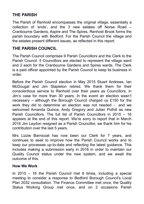## **THE PARISH**

The Parish of Renhold encompasses the original village, essentially a collection of 'ends', and the 3 new estates off Norse Road – Cranbourne Gardens, Aspire and The Spires, Renhold Brook forms the parish boundary with Bedford. For the Parish Council the village and the estates present different issues, as reflected in this report.

### **THE PARISH COUNCIL**

The Parish Council comprises 9 Parish Councillors and the Clerk to the Parish Council. 5 Councillors are elected to represent the village ward and 2 each for the Cranbourne Gardens and Spires wards. The Clerk is a paid officer appointed by the Parish Council to keep its business in order.

Before the Parish Council election in May 2015 Stuart Andrews, Ian McDougal and Jim Stapleton retired. We thank them for their conscientious service to Renhold over their years as Councillors, in Jim's case for more than 30 years. In the event an election wasn't necessary – although the Borough Council charged us £150 for the work they did to determine an election was not needed - and we welcomed Amanda Quince, Andy Gregory and Julian Polhill as new Parish Councillors. The full list of Parish Councillors in 2015 – 16 appears at the end of this report. We're sorry to report that in March 2016 Jim Leydon resigned as a Parish Councillor, we thank him for his contribution over the last 5 years.

Mrs Lizzie Barnicoat has now been our Clerk for 7 years, and continues to seek to improve how the Parish Council works and to keep our processes up-to-date and reflecting the latest guidance. This includes making a submission early in 2016 in order to maintain our Quality Council status under the new system, and we await the outcome of this.

#### **How We Work**

In 2015 – 16 the Parish Council met 8 times, including a special meeting to consider a response to Bedford Borough Council's Local Plan 2032 consultation. The Finance Committee met once, the Quality Status Working Group met once, and on 2 occasions Parish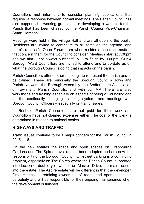Councillors met informally to consider planning applications that required a response between normal meetings. The Parish Council has also supported a working group that is developing a website for the Parish that has been chaired by the Parish Council Vice-Chairman, Stuart Harrison.

Meetings were held in the Village Hall and are all open to the public. Residents are invited to contribute to all items on the agenda, and there's a specific Open Forum item when residents can raise matters that concern them for the Council to consider. Meetings start at 7.30pm and we aim – not always successfully – to finish by 9.00pm. Our 4 Borough Ward Councillors are invited to attend and to up-date us on what the Borough Council is doing that impacts on the parish.

Parish Councillors attend other meetings to represent the parish and to be trained. These are principally the Borough Council's Town and Parish Network, the Borough Assembly, the Bedfordshire Association of Town and Parish Councils, and with our MP. There are also workshops and training especially on aspects of being a Councillor and on the continually changing planning system, and meetings with Borough Council Officers – especially on traffic issues.

In Renhold Parish Councillors are not paid for their work and Councillors have not claimed expenses either. The cost of the Clerk is determined in relation to national scales.

#### **HIGHWAYS AND TRAFFIC**

Traffic issues continue to be a major concern for the Parish Council in  $2015 - 16$ 

On the new estates the roads and open spaces on Cranbourne Gardens and The Spires have, at last, been adopted and are now the responsibility of the Borough Council. On-street parking is a continuing problem, especially on The Spires where the Parish Council supported introduction of double yellow lines on Maskell Drive, the main access into the estate. The Aspire estate will be different in that the developer, Orbit Homes, is retaining ownership of roads and open spaces in perpetuity and will be responsible for their ongoing maintenance when the development is finished.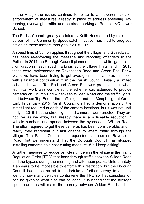In the village the issues continue to relate to an apparent lack of enforcement of measures already in place to address speeding, ratrunning, overweight traffic, and on-street parking at Renhold VC Lower **School.** 

The Parish Council, greatly assisted by Keith Herkes, and by residents as part of the Community Speedwatch initiative, has tried to progress action on these matters throughout 2015 – 16.

A speed limit of 30mph applies throughout the village, and Speedwatch has been re-enforcing the message and reporting offenders to the Police. In 2014 the Borough Council planned to install white 'gates' and / or 'dragon's teeth' road markings at the village limits, and in 2015 these were implemented on Ravensden Road and Green End. For 4 years we have been trying to get average speed cameras installed, with a financial contribution from the Parish Council. Initially a limited scheme between Top End and Green End was proposed, but when technical work was completed the scheme was extended to provide cameras on Church End – between Wilden Road and the traffic lights, and between Top End at the traffic lights and the 30mph sign at Green End, In January 2015 Parish Councillors had a demonstration of the street light required at each of the camera locations, but it was not until early in 2016 that the street lights and cameras were erected. They are not live as we write, but already there is a noticeable reduction in vehicle numbers and speeds between the bypass and Wilden Road. The effort required to get these cameras has been considerable, and in reality they represent our last chance to affect traffic through the village. The Parish Council has requested cameras on Ravensden Road, but we understand that the Borough Council has stopped installing cameras as a cost-cutting measure. We'll keep asking!

A further measure to reduce vehicle numbers in the village is the Traffic Regulation Order [TRO] that bans through traffic between Wilden Road and the bypass during the morning and afternoon peaks. Unfortunately, it appears to be impossible to enforce this restriction, but the Borough Council has been asked to undertake a further survey to at least identify how many vehicles contravene the TRO so that consideration can be given to what else can be done. It is hoped that the average speed cameras will make the journey between Wilden Road and the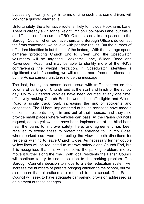bypass significantly longer in terms of time such that some drivers will look for a quicker alternative.

Unfortunately, the alternative route is likely to include Hookhams Lane. There is already a 7.5 tonne weight limit on Hookhams Lane, but this is as difficult to enforce as the TRO. Offenders details are passed to the Borough Council when we have them, and Borough Officers do contact the firms concerned, we believe with positive results. But the number of offenders identified is but the tip of the iceberg. With the average speed cameras 'protecting' Church End to Green End, the Speedwatch volunteers will be targeting Hookhams Lane, Wilden Road and Ravensden Road, and may be able to identify more of the HGVs contravening the weight restriction. If Speedwatch identifies a significant level of speeding, we will request more frequent attendance by the Police camera unit to reinforce the message.

The last, but by no means least, issue with traffic centres on the volume of parking on Church End at the start and finish of the school day. Up to 70 parked vehicles have been counted at any one time, effectively making Church End between the traffic lights and Wilden Road a single track road, increasing the risk of accidents and congestion. The 'H bars' implemented at house accesses have made it easier for residents to get in and out of their houses, and they also provide small places where vehicles can pass. At the Parish Council's request, double yellow lines have been implemented at the blind bend near the barns to improve safety there, and agreement has been received to extend these to protect the entrance to Church Close, where parked cars were obstructing the view in both directions for residents wishing to leave Church Close. As necessary further double yellow lines will be requested to improve safety along Church End, but it is recognised that this will not solve the parking problem, merely move it further along the road. With local residents the Parish Council will continue to try to find a solution to the parking problem. The Borough Council's decision to move to a 2-tier education system will increase the numbers of parents bringing children to the school, but will also mean that alterations are required to the school. The Parish Council will seek to have adequate car parking provision addressed as an element of these changes.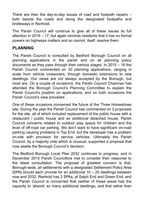There are then the day-to-day issues of road and footpath repairs – both beside the roads and along the designated footpaths and bridleways in Renhold.

The Parish Council will continue to give all of these issues its full attention in 2016 – 17, but again reminds residents that it has no formal powers on highways matters and so cannot, itself, resolve them.

#### **PLANNING**

The Parish Council is consulted by Bedford Borough Council on all planning applications in the parish and on all planning policy documents as they pass through their various stages. In 2015 – 16 the Parish Council commented on 30 planning applications, ranging in scale from vehicle crossovers, through domestic extensions to new dwellings. Our views are not always accepted by the Borough, but most are. On a couple of occasions, the Parish Council Chairman has attended the Borough Council's Planning Committee to explain the Parish Council's position on applications, and on both occasions the Parish Council's view prevailed.

One of these occasions concerned the future of the Three Horseshoes site. During the year the Parish Council has commented on 3 proposals for the site, all of which included replacement of the public house with a restaurant / public house and an additional detached house. Parish Council concerns related to outdoor play space for children and the level of off-road car parking. We don't want to have significant on-road parking causing problems in Top End, but the developer has a problem on-site with provision for service vehicles. Ultimately the Parish Council, by a majority vote which is unusual, supported a proposal that now awaits the Borough Council's decision.

The Bedford Borough Local Plan 2032 continues to progress, and in December 2015 Parish Councillors met to consider their response to the latest consultation. The proposal of greatest concern is that, Borough-wide, all settlements with a designated Settlement Policy Area [SPA] should each provide for an additional 10 – 20 dwellings between now and 2032. Renhold has 2 SPAs, at Salph End and Green End, and the Parish Council is concerned that neither of these areas has the capacity to 'absorb' so many additional dwellings, and that rather than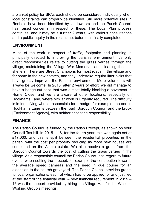a blanket policy for SPAs each should be considered individually when local constraints can properly be identified. Still more potential sites in Renhold have been identified by landowners and the Parish Council has raised concerns in respect of these. The Local Plan process continues, and it may be a further 2 years, with various consultations and a public inquiry in the meantime, before it is finally completed.

#### **ENVIRONMENT**

Much of the work in respect of traffic, footpaths and planning is principally directed to improving the parish's environment. It's only direct responsibilities relate to cutting the grass verges through the village, maintaining the Village War Memorial, and cleaning the bus shelters. There are Street Champions for most roads in the village and for some in the new estates, and they undertake regular litter picks that have greatly improved the Parish's environment. More volunteers will always be welcome! In 2015, after 2 years of effort, we did manage to have a hedge cut back that was almost totally blocking a pavement in Home Close, and we are aware of other locations, especially on Hookhams Lane, where similar work is urgently required. The difficulty is in identifying who is responsible for a hedge: for example, the one in Hookhams Lane is between the road [Borough Council] and the brook [Environment Agency], with neither accepting responsibility.

#### **FINANCE**

The Parish Council is funded by the Parish Precept, as shown on your Council Tax bill. In 2015 – 16, for the fourth year, this was again set at £17,000, and this is split between the residential properties in the parish, with the cost per property reducing as more new houses are completed on the Aspire estate. We also receive a grant from the Borough Council towards the cost of cutting the grass verges in the village. As a responsible council the Parish Council has regard to future events when setting the precept, for example the contribution towards the average speed cameras and the need in due course for an extension to the church graveyard. The Parish Council provides grants to local organisations, each of which has to be applied for and justified at the start of the financial year. A new financial requirement in 2015 – 16 was the support provided by hiring the Village Hall for the Website Working Group's meetings.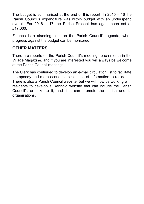The budget is summarised at the end of this report. In 2015 – 16 the Parish Council's expenditure was within budget with an underspend overall. For 2016 – 17 the Parish Precept has again been set at £17,000.

Finance is a standing item on the Parish Council's agenda, when progress against the budget can be monitored.

#### **OTHER MATTERS**

There are reports on the Parish Council's meetings each month in the Village Magazine, and if you are interested you will always be welcome at the Parish Council meetings.

The Clerk has continued to develop an e-mail circulation list to facilitate the speedy and more economic circulation of information to residents. There is also a Parish Council website, but we will now be working with residents to develop a Renhold website that can include the Parish Council's or links to it, and that can promote the parish and its organisations.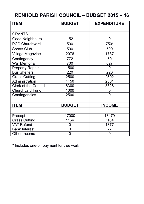# **RENHOLD PARISH COUNCIL – BUDGET 2015 – 16**

| <b>ITEM</b>                 | <b>BUDGET</b> | <b>EXPENDITURE</b> |
|-----------------------------|---------------|--------------------|
|                             |               |                    |
| <b>GRANTS</b>               |               |                    |
| Good Neighbours             | 152           | 0                  |
| <b>PCC Churchyard</b>       | 500           | 750*               |
| Sports Club                 | 500           | 500                |
| Village Magazine            | 2076          | 1737               |
| Contingency                 | 772           | 50                 |
| War Memorial                | 700           | 627                |
| <b>Property Repair</b>      | 1500          | 0                  |
| <b>Bus Shelters</b>         | 220           | 220                |
| <b>Grass Cutting</b>        | 2500          | 2592               |
| Administration              | 4450          | 2301               |
| <b>Clerk of the Council</b> | 6300          | 5328               |
| Churchyard Fund             | 1000          | 0                  |
| Contingencies               | 2500          | 0                  |
|                             |               |                    |
| <b>ITEM</b>                 | <b>BUDGET</b> | <b>INCOME</b>      |
|                             |               |                    |
| Precept                     | 17000         | 18479              |
| <b>Grass Cutting</b>        | 1164          | 1164               |
| <b>VAT Refund</b>           | 0             | 1377               |
| <b>Bank Interest</b>        | 0             | 27                 |
| Other Income                | 0             | 0                  |

\* Includes one-off payment for tree work